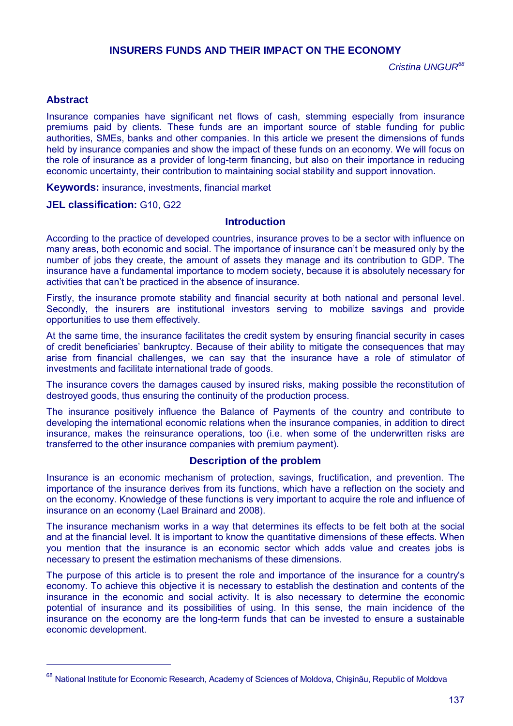# **INSURERS FUNDS AND THEIR IMPACT ON THE ECONOMY**

# **Abstract**

 $\overline{a}$ 

Insurance companies have significant net flows of cash, stemming especially from insurance premiums paid by clients. These funds are an important source of stable funding for public authorities, SMEs, banks and other companies. In this article we present the dimensions of funds held by insurance companies and show the impact of these funds on an economy. We will focus on the role of insurance as a provider of long-term financing, but also on their importance in reducing economic uncertainty, their contribution to maintaining social stability and support innovation.

**Keywords:** insurance, investments, financial market

#### **JEL classification:** G10, G22

### **Introduction**

According to the practice of developed countries, insurance proves to be a sector with influence on many areas, both economic and social. The importance of insurance can't be measured only by the number of jobs they create, the amount of assets they manage and its contribution to GDP. The insurance have a fundamental importance to modern society, because it is absolutely necessary for activities that can't be practiced in the absence of insurance.

Firstly, the insurance promote stability and financial security at both national and personal level. Secondly, the insurers are institutional investors serving to mobilize savings and provide opportunities to use them effectively.

At the same time, the insurance facilitates the credit system by ensuring financial security in cases of credit beneficiaries' bankruptcy. Because of their ability to mitigate the consequences that may arise from financial challenges, we can say that the insurance have a role of stimulator of investments and facilitate international trade of goods.

The insurance covers the damages caused by insured risks, making possible the reconstitution of destroyed goods, thus ensuring the continuity of the production process.

The insurance positively influence the Balance of Payments of the country and contribute to developing the international economic relations when the insurance companies, in addition to direct insurance, makes the reinsurance operations, too (i.e. when some of the underwritten risks are transferred to the other insurance companies with premium payment).

## **Description of the problem**

Insurance is an economic mechanism of protection, savings, fructification, and prevention. The importance of the insurance derives from its functions, which have a reflection on the society and on the economy. Knowledge of these functions is very important to acquire the role and influence of insurance on an economy (Lael Brainard and 2008).

The insurance mechanism works in a way that determines its effects to be felt both at the social and at the financial level. It is important to know the quantitative dimensions of these effects. When you mention that the insurance is an economic sector which adds value and creates jobs is necessary to present the estimation mechanisms of these dimensions.

The purpose of this article is to present the role and importance of the insurance for a country's economy. To achieve this objective it is necessary to establish the destination and contents of the insurance in the economic and social activity. It is also necessary to determine the economic potential of insurance and its possibilities of using. In this sense, the main incidence of the insurance on the economy are the long-term funds that can be invested to ensure a sustainable economic development.

<sup>&</sup>lt;sup>68</sup> National Institute for Economic Research, Academy of Sciences of Moldova, Chişinău, Republic of Moldova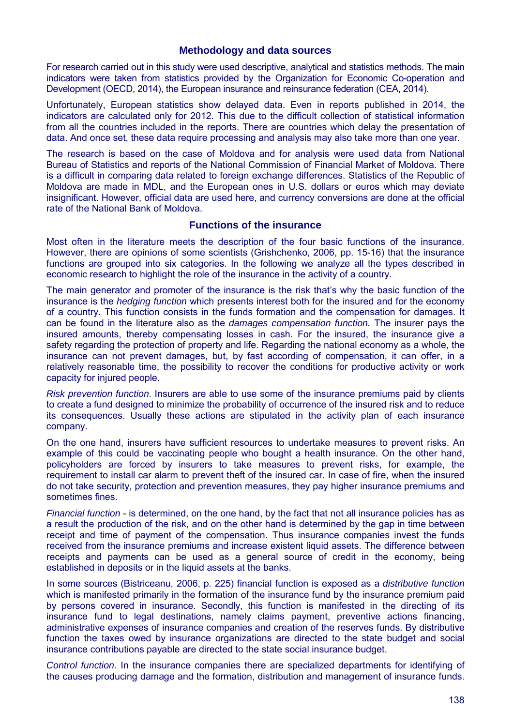#### **Methodology and data sources**

For research carried out in this study were used descriptive, analytical and statistics methods. The main indicators were taken from statistics provided by the Organization for Economic Co-operation and Development (OECD, 2014), the European insurance and reinsurance federation (CEA, 2014).

Unfortunately, European statistics show delayed data. Even in reports published in 2014, the indicators are calculated only for 2012. This due to the difficult collection of statistical information from all the countries included in the reports. There are countries which delay the presentation of data. And once set, these data require processing and analysis may also take more than one year.

The research is based on the case of Moldova and for analysis were used data from National Bureau of Statistics and reports of the National Commission of Financial Market of Moldova. There is a difficult in comparing data related to foreign exchange differences. Statistics of the Republic of Moldova are made in MDL, and the European ones in U.S. dollars or euros which may deviate insignificant. However, official data are used here, and currency conversions are done at the official rate of the National Bank of Moldova.

### **Functions of the insurance**

Most often in the literature meets the description of the four basic functions of the insurance. However, there are opinions of some scientists (Grishchenko, 2006, pp. 15-16) that the insurance functions are grouped into six categories. In the following we analyze all the types described in economic research to highlight the role of the insurance in the activity of a country.

The main generator and promoter of the insurance is the risk that's why the basic function of the insurance is the *hedging function* which presents interest both for the insured and for the economy of a country. This function consists in the funds formation and the compensation for damages. It can be found in the literature also as the *damages compensation function.* The insurer pays the insured amounts, thereby compensating losses in cash. For the insured, the insurance give a safety regarding the protection of property and life. Regarding the national economy as a whole, the insurance can not prevent damages, but, by fast according of compensation, it can offer, in a relatively reasonable time, the possibility to recover the conditions for productive activity or work capacity for injured people.

*Risk prevention function*. Insurers are able to use some of the insurance premiums paid by clients to create a fund designed to minimize the probability of occurrence of the insured risk and to reduce its consequences. Usually these actions are stipulated in the activity plan of each insurance company.

On the one hand, insurers have sufficient resources to undertake measures to prevent risks. An example of this could be vaccinating people who bought a health insurance. On the other hand, policyholders are forced by insurers to take measures to prevent risks, for example, the requirement to install car alarm to prevent theft of the insured car. In case of fire, when the insured do not take security, protection and prevention measures, they pay higher insurance premiums and sometimes fines.

*Financial function* - is determined, on the one hand, by the fact that not all insurance policies has as a result the production of the risk, and on the other hand is determined by the gap in time between receipt and time of payment of the compensation. Thus insurance companies invest the funds received from the insurance premiums and increase existent liquid assets. The difference between receipts and payments can be used as a general source of credit in the economy, being established in deposits or in the liquid assets at the banks.

In some sources (Bistriceanu, 2006, p. 225) financial function is exposed as a *distributive function* which is manifested primarily in the formation of the insurance fund by the insurance premium paid by persons covered in insurance. Secondly, this function is manifested in the directing of its insurance fund to legal destinations, namely claims payment, preventive actions financing, administrative expenses of insurance companies and creation of the reserves funds. By distributive function the taxes owed by insurance organizations are directed to the state budget and social insurance contributions payable are directed to the state social insurance budget.

*Control function*. In the insurance companies there are specialized departments for identifying of the causes producing damage and the formation, distribution and management of insurance funds.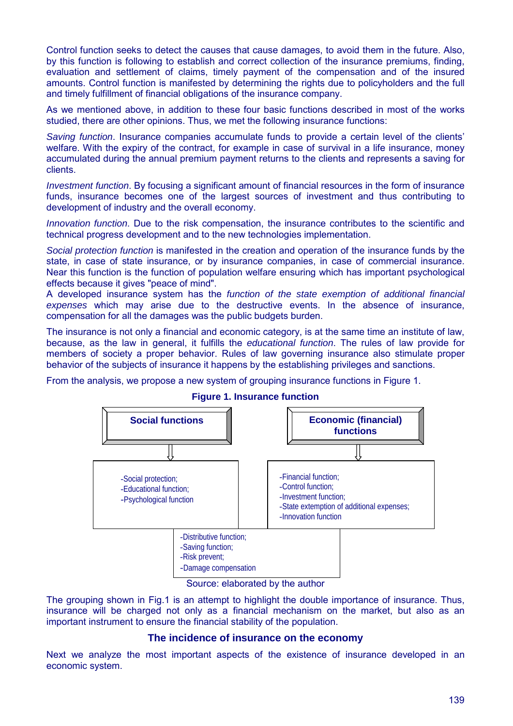Control function seeks to detect the causes that cause damages, to avoid them in the future. Also, by this function is following to establish and correct collection of the insurance premiums, finding, evaluation and settlement of claims, timely payment of the compensation and of the insured amounts. Control function is manifested by determining the rights due to policyholders and the full and timely fulfillment of financial obligations of the insurance company.

As we mentioned above, in addition to these four basic functions described in most of the works studied, there are other opinions. Thus, we met the following insurance functions:

*Saving function*. Insurance companies accumulate funds to provide a certain level of the clients' welfare. With the expiry of the contract, for example in case of survival in a life insurance, money accumulated during the annual premium payment returns to the clients and represents a saving for clients.

*Investment function*. By focusing a significant amount of financial resources in the form of insurance funds, insurance becomes one of the largest sources of investment and thus contributing to development of industry and the overall economy.

*Innovation function*. Due to the risk compensation, the insurance contributes to the scientific and technical progress development and to the new technologies implementation.

*Social protection function* is manifested in the creation and operation of the insurance funds by the state, in case of state insurance, or by insurance companies, in case of commercial insurance. Near this function is the function of population welfare ensuring which has important psychological effects because it gives "peace of mind".

A developed insurance system has the *function of the state exemption of additional financial expenses* which may arise due to the destructive events. In the absence of insurance, compensation for all the damages was the public budgets burden.

The insurance is not only a financial and economic category, is at the same time an institute of law, because, as the law in general, it fulfills the *educational function*. The rules of law provide for members of society a proper behavior. Rules of law governing insurance also stimulate proper behavior of the subjects of insurance it happens by the establishing privileges and sanctions.

From the analysis, we propose a new system of grouping insurance functions in Figure 1.



#### **Figure 1. Insurance function**

Source: elaborated by the author

The grouping shown in Fig.1 is an attempt to highlight the double importance of insurance. Thus, insurance will be charged not only as a financial mechanism on the market, but also as an important instrument to ensure the financial stability of the population.

## **The incidence of insurance on the economy**

Next we analyze the most important aspects of the existence of insurance developed in an economic system.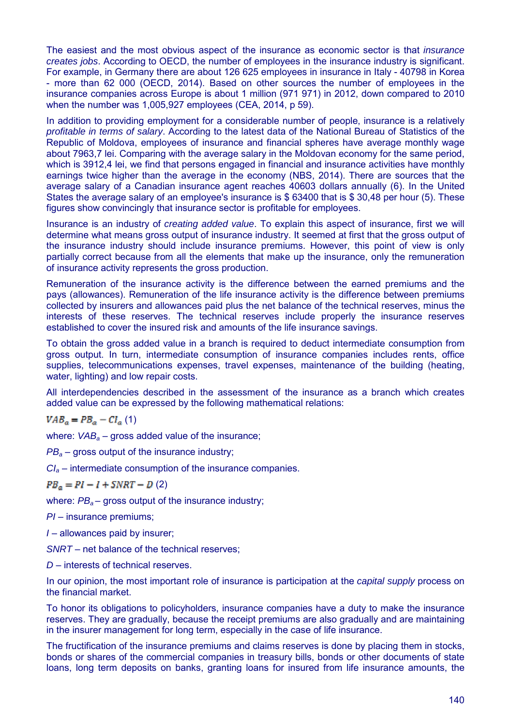The easiest and the most obvious aspect of the insurance as economic sector is that *insurance creates jobs*. According to OECD, the number of employees in the insurance industry is significant. For example, in Germany there are about 126 625 employees in insurance in Italy - 40798 in Korea - more than 62 000 (OECD, 2014). Based on other sources the number of employees in the insurance companies across Europe is about 1 million (971 971) in 2012, down compared to 2010 when the number was 1,005,927 employees (CEA, 2014, p 59).

In addition to providing employment for a considerable number of people, insurance is a relatively *profitable in terms of salary*. According to the latest data of the National Bureau of Statistics of the Republic of Moldova, employees of insurance and financial spheres have average monthly wage about 7963,7 lei. Comparing with the average salary in the Moldovan economy for the same period, which is 3912,4 lei, we find that persons engaged in financial and insurance activities have monthly earnings twice higher than the average in the economy (NBS, 2014). There are sources that the average salary of a Canadian insurance agent reaches 40603 dollars annually (6). In the United States the average salary of an employee's insurance is \$ 63400 that is \$ 30,48 per hour (5). These figures show convincingly that insurance sector is profitable for employees.

Insurance is an industry of *creating added value*. To explain this aspect of insurance, first we will determine what means gross output of insurance industry. It seemed at first that the gross output of the insurance industry should include insurance premiums. However, this point of view is only partially correct because from all the elements that make up the insurance, only the remuneration of insurance activity represents the gross production.

Remuneration of the insurance activity is the difference between the earned premiums and the pays (allowances). Remuneration of the life insurance activity is the difference between premiums collected by insurers and allowances paid plus the net balance of the technical reserves, minus the interests of these reserves. The technical reserves include properly the insurance reserves established to cover the insured risk and amounts of the life insurance savings.

To obtain the gross added value in a branch is required to deduct intermediate consumption from gross output. In turn, intermediate consumption of insurance companies includes rents, office supplies, telecommunications expenses, travel expenses, maintenance of the building (heating, water, lighting) and low repair costs.

All interdependencies described in the assessment of the insurance as a branch which creates added value can be expressed by the following mathematical relations:

 $VAB_a = PB_a - CL_a$  (1)

where: *VAB*<sub>a</sub> – gross added value of the insurance;

*PB<sup>a</sup>* – gross output of the insurance industry;

*CI<sup>a</sup>* – intermediate consumption of the insurance companies.

 $PB_{\alpha} = PI - I + SNRT - D(2)$ 

where:  $PB_a$  – gross output of the insurance industry;

*PI* – insurance premiums;

*I* – allowances paid by insurer;

*SNRT* – net balance of the technical reserves;

*D* – interests of technical reserves.

In our opinion, the most important role of insurance is participation at the *capital supply* process on the financial market.

To honor its obligations to policyholders, insurance companies have a duty to make the insurance reserves. They are gradually, because the receipt premiums are also gradually and are maintaining in the insurer management for long term, especially in the case of life insurance.

The fructification of the insurance premiums and claims reserves is done by placing them in stocks, bonds or shares of the commercial companies in treasury bills, bonds or other documents of state loans, long term deposits on banks, granting loans for insured from life insurance amounts, the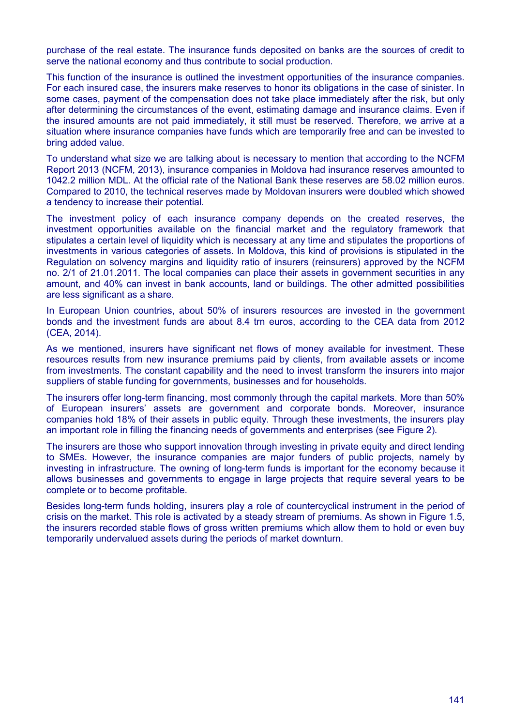purchase of the real estate. The insurance funds deposited on banks are the sources of credit to serve the national economy and thus contribute to social production.

This function of the insurance is outlined the investment opportunities of the insurance companies. For each insured case, the insurers make reserves to honor its obligations in the case of sinister. In some cases, payment of the compensation does not take place immediately after the risk, but only after determining the circumstances of the event, estimating damage and insurance claims. Even if the insured amounts are not paid immediately, it still must be reserved. Therefore, we arrive at a situation where insurance companies have funds which are temporarily free and can be invested to bring added value.

To understand what size we are talking about is necessary to mention that according to the NCFM Report 2013 (NCFM, 2013), insurance companies in Moldova had insurance reserves amounted to 1042.2 million MDL. At the official rate of the National Bank these reserves are 58.02 million euros. Compared to 2010, the technical reserves made by Moldovan insurers were doubled which showed a tendency to increase their potential.

The investment policy of each insurance company depends on the created reserves, the investment opportunities available on the financial market and the regulatory framework that stipulates a certain level of liquidity which is necessary at any time and stipulates the proportions of investments in various categories of assets. In Moldova, this kind of provisions is stipulated in the Regulation on solvency margins and liquidity ratio of insurers (reinsurers) approved by the NCFM no. 2/1 of 21.01.2011. The local companies can place their assets in government securities in any amount, and 40% can invest in bank accounts, land or buildings. The other admitted possibilities are less significant as a share.

In European Union countries, about 50% of insurers resources are invested in the government bonds and the investment funds are about 8.4 trn euros, according to the CEA data from 2012 (CEA, 2014).

As we mentioned, insurers have significant net flows of money available for investment. These resources results from new insurance premiums paid by clients, from available assets or income from investments. The constant capability and the need to invest transform the insurers into major suppliers of stable funding for governments, businesses and for households.

The insurers offer long-term financing, most commonly through the capital markets. More than 50% of European insurers' assets are government and corporate bonds. Moreover, insurance companies hold 18% of their assets in public equity. Through these investments, the insurers play an important role in filling the financing needs of governments and enterprises (see Figure 2).

The insurers are those who support innovation through investing in private equity and direct lending to SMEs. However, the insurance companies are major funders of public projects, namely by investing in infrastructure. The owning of long-term funds is important for the economy because it allows businesses and governments to engage in large projects that require several years to be complete or to become profitable.

Besides long-term funds holding, insurers play a role of countercyclical instrument in the period of crisis on the market. This role is activated by a steady stream of premiums. As shown in Figure 1.5, the insurers recorded stable flows of gross written premiums which allow them to hold or even buy temporarily undervalued assets during the periods of market downturn.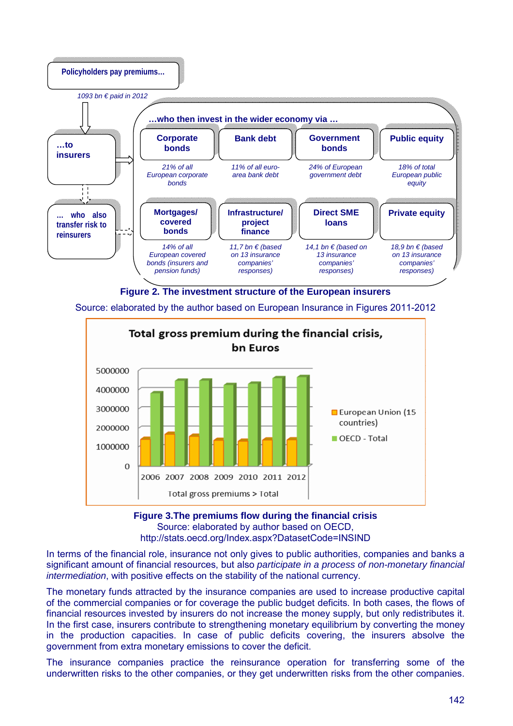

**Figure 2. The investment structure of the European insurers**

Source: elaborated by the author based on European Insurance in Figures 2011-2012



**Figure 3.The premiums flow during the financial crisis** Source: elaborated by author based on OECD, http://stats.oecd.org/Index.aspx?DatasetCode=INSIND

In terms of the financial role, insurance not only gives to public authorities, companies and banks a significant amount of financial resources, but also *participate in a process of non-monetary financial intermediation*, with positive effects on the stability of the national currency.

The monetary funds attracted by the insurance companies are used to increase productive capital of the commercial companies or for coverage the public budget deficits. In both cases, the flows of financial resources invested by insurers do not increase the money supply, but only redistributes it. In the first case, insurers contribute to strengthening monetary equilibrium by converting the money in the production capacities. In case of public deficits covering, the insurers absolve the government from extra monetary emissions to cover the deficit.

The insurance companies practice the reinsurance operation for transferring some of the underwritten risks to the other companies, or they get underwritten risks from the other companies.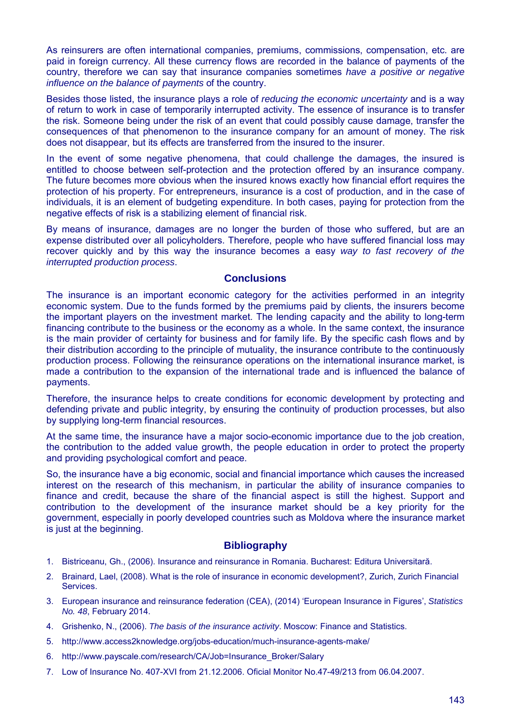As reinsurers are often international companies, premiums, commissions, compensation, etc. are paid in foreign currency. All these currency flows are recorded in the balance of payments of the country, therefore we can say that insurance companies sometimes *have a positive or negative influence on the balance of payments* of the country.

Besides those listed, the insurance plays a role of *reducing the economic uncertainty* and is a way of return to work in case of temporarily interrupted activity. The essence of insurance is to transfer the risk. Someone being under the risk of an event that could possibly cause damage, transfer the consequences of that phenomenon to the insurance company for an amount of money. The risk does not disappear, but its effects are transferred from the insured to the insurer.

In the event of some negative phenomena, that could challenge the damages, the insured is entitled to choose between self-protection and the protection offered by an insurance company. The future becomes more obvious when the insured knows exactly how financial effort requires the protection of his property. For entrepreneurs, insurance is a cost of production, and in the case of individuals, it is an element of budgeting expenditure. In both cases, paying for protection from the negative effects of risk is a stabilizing element of financial risk.

By means of insurance, damages are no longer the burden of those who suffered, but are an expense distributed over all policyholders. Therefore, people who have suffered financial loss may recover quickly and by this way the insurance becomes a easy *way to fast recovery of the interrupted production process*.

#### **Conclusions**

The insurance is an important economic category for the activities performed in an integrity economic system. Due to the funds formed by the premiums paid by clients, the insurers become the important players on the investment market. The lending capacity and the ability to long-term financing contribute to the business or the economy as a whole. In the same context, the insurance is the main provider of certainty for business and for family life. By the specific cash flows and by their distribution according to the principle of mutuality, the insurance contribute to the continuously production process. Following the reinsurance operations on the international insurance market, is made a contribution to the expansion of the international trade and is influenced the balance of payments.

Therefore, the insurance helps to create conditions for economic development by protecting and defending private and public integrity, by ensuring the continuity of production processes, but also by supplying long-term financial resources.

At the same time, the insurance have a major socio-economic importance due to the job creation, the contribution to the added value growth, the people education in order to protect the property and providing psychological comfort and peace.

So, the insurance have a big economic, social and financial importance which causes the increased interest on the research of this mechanism, in particular the ability of insurance companies to finance and credit, because the share of the financial aspect is still the highest. Support and contribution to the development of the insurance market should be a key priority for the government, especially in poorly developed countries such as Moldova where the insurance market is just at the beginning.

# **Bibliography**

- 1. Bistriceanu, Gh., (2006). Insurance and reinsurance in Romania. Bucharest: Editura Universitară.
- 2. Brainard, Lael, (2008). What is the role of insurance in economic development?, Zurich, Zurich Financial Services.
- 3. European insurance and reinsurance federation (CEA), (2014) 'European Insurance in Figures', *Statistics No. 48*, February 2014.
- 4. Grishenko, N., (2006). *The basis of the insurance activity*. Moscow: Finance and Statistics.
- 5. http://www.access2knowledge.org/jobs-education/much-insurance-agents-make/
- 6. http://www.payscale.com/research/CA/Job=Insurance\_Broker/Salary
- 7. Low of Insurance No. 407-XVI from 21.12.2006. Oficial Monitor No.47-49/213 from 06.04.2007.